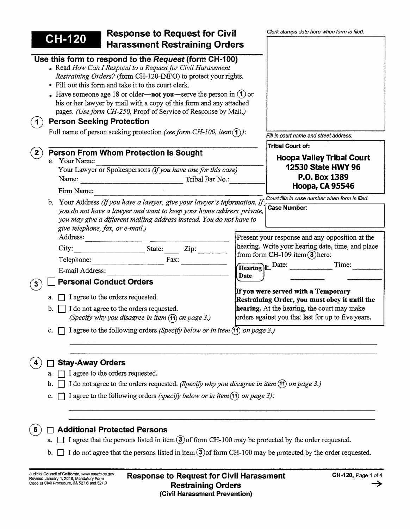| <b>Response to Request for Civil</b>                                                                                                                                                                                                                                                                                                                                                                                                                                                                                                                                       | Clerk stamps date here when form is filed.                                           |  |  |  |  |
|----------------------------------------------------------------------------------------------------------------------------------------------------------------------------------------------------------------------------------------------------------------------------------------------------------------------------------------------------------------------------------------------------------------------------------------------------------------------------------------------------------------------------------------------------------------------------|--------------------------------------------------------------------------------------|--|--|--|--|
| <b>CH-120</b><br><b>Harassment Restraining Orders</b>                                                                                                                                                                                                                                                                                                                                                                                                                                                                                                                      |                                                                                      |  |  |  |  |
| Use this form to respond to the Request (form CH-100)<br>• Read How Can I Respond to a Request for Civil Harassment<br>Restraining Orders? (form CH-120-INFO) to protect your rights.<br>• Fill out this form and take it to the court clerk.<br>Have someone age 18 or older—not you—serve the person in $(1)$ or<br>his or her lawyer by mail with a copy of this form and any attached<br>pages. (Use form CH-250, Proof of Service of Response by Mail.)<br><b>Person Seeking Protection</b><br>Full name of person seeking protection (see form CH-100, item $(1)$ ): | Fill in court name and street address:                                               |  |  |  |  |
| <b>Person From Whom Protection Is Sought</b>                                                                                                                                                                                                                                                                                                                                                                                                                                                                                                                               | Tribal Court of:                                                                     |  |  |  |  |
| a. Your Name:                                                                                                                                                                                                                                                                                                                                                                                                                                                                                                                                                              | <b>Hoopa Valley Tribal Court</b>                                                     |  |  |  |  |
| Your Lawyer or Spokespersons (if you have one for this case)                                                                                                                                                                                                                                                                                                                                                                                                                                                                                                               | 12530 State HWY 96                                                                   |  |  |  |  |
| Tribal Bar No.:<br>Name:                                                                                                                                                                                                                                                                                                                                                                                                                                                                                                                                                   | P.O. Box 1389<br><b>Hoopa, CA 95546</b>                                              |  |  |  |  |
| Firm Name:                                                                                                                                                                                                                                                                                                                                                                                                                                                                                                                                                                 |                                                                                      |  |  |  |  |
| b. Your Address (If you have a lawyer, give your lawyer's information. If                                                                                                                                                                                                                                                                                                                                                                                                                                                                                                  | Court fills in case number when form is filed.                                       |  |  |  |  |
| <b>Case Number:</b><br>you do not have a lawyer and want to keep your home address private,<br>you may give a different mailing address instead. You do not have to<br>give telephone, fax, or e-mail.)                                                                                                                                                                                                                                                                                                                                                                    |                                                                                      |  |  |  |  |
| Address:                                                                                                                                                                                                                                                                                                                                                                                                                                                                                                                                                                   | Present your response and any opposition at the                                      |  |  |  |  |
| $\mathsf{Zip:}\_$<br>State:<br>City:                                                                                                                                                                                                                                                                                                                                                                                                                                                                                                                                       | hearing. Write your hearing date, time, and place                                    |  |  |  |  |
| Fax:<br>Telephone:                                                                                                                                                                                                                                                                                                                                                                                                                                                                                                                                                         | from form CH-109 item $(3)$ here:                                                    |  |  |  |  |
| E-mail Address:                                                                                                                                                                                                                                                                                                                                                                                                                                                                                                                                                            | Time:<br>Hearing) LDate:                                                             |  |  |  |  |
| <b>Personal Conduct Orders</b><br>$\mathbf{3}$                                                                                                                                                                                                                                                                                                                                                                                                                                                                                                                             | Date                                                                                 |  |  |  |  |
| I agree to the orders requested.                                                                                                                                                                                                                                                                                                                                                                                                                                                                                                                                           | If you were served with a Temporary<br>Restraining Order, you must obey it until the |  |  |  |  |
| I do not agree to the orders requested.<br>b.                                                                                                                                                                                                                                                                                                                                                                                                                                                                                                                              | hearing. At the hearing, the court may make                                          |  |  |  |  |
| (Specify why you disagree in item (11) on page 3.)                                                                                                                                                                                                                                                                                                                                                                                                                                                                                                                         | orders against you that last for up to five years.                                   |  |  |  |  |
| I agree to the following orders (Specify below or in item $(1)$ ) on page 3.)                                                                                                                                                                                                                                                                                                                                                                                                                                                                                              |                                                                                      |  |  |  |  |
|                                                                                                                                                                                                                                                                                                                                                                                                                                                                                                                                                                            |                                                                                      |  |  |  |  |
| <b>Stay-Away Orders</b><br>I agree to the orders requested.                                                                                                                                                                                                                                                                                                                                                                                                                                                                                                                |                                                                                      |  |  |  |  |
| a.<br>I do not agree to the orders requested. (Specify why you disagree in item (11) on page 3.)                                                                                                                                                                                                                                                                                                                                                                                                                                                                           |                                                                                      |  |  |  |  |
| b                                                                                                                                                                                                                                                                                                                                                                                                                                                                                                                                                                          |                                                                                      |  |  |  |  |
| I agree to the following orders (specify below or in item $(1)$ ) on page 3):<br>c.                                                                                                                                                                                                                                                                                                                                                                                                                                                                                        |                                                                                      |  |  |  |  |
| <b>Additional Protected Persons</b>                                                                                                                                                                                                                                                                                                                                                                                                                                                                                                                                        |                                                                                      |  |  |  |  |
| I agree that the persons listed in item $(3)$ of form CH-100 may be protected by the order requested.                                                                                                                                                                                                                                                                                                                                                                                                                                                                      |                                                                                      |  |  |  |  |
| I do not agree that the persons listed in item $(3)$ of form CH-100 may be protected by the order requested.<br>b.                                                                                                                                                                                                                                                                                                                                                                                                                                                         |                                                                                      |  |  |  |  |
| Judicial Council of California, www.courts.ca.gov<br><b>Poenance to Posuest for Civil Herocement</b>                                                                                                                                                                                                                                                                                                                                                                                                                                                                       | $CH-120$ Page 1 of 4                                                                 |  |  |  |  |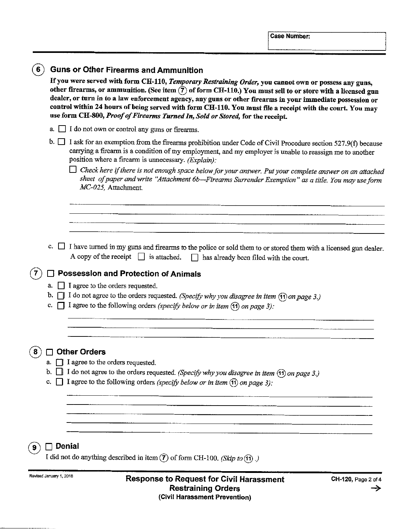|                |                      | <b>Guns or Other Firearms and Ammunition</b><br>If you were served with form CH-110, Temporary Restraining Order, you cannot own or possess any guns,<br>other firearms, or ammunition. (See item $(7)$ of form CH-110.) You must sell to or store with a licensed gun<br>dealer, or turn in to a law enforcement agency, any guns or other firearms in your immediate possession or<br>control within 24 hours of being served with form CH-110. You must file a receipt with the court. You may<br>use form CH-800, Proof of Firearms Turned In, Sold or Stored, for the receipt. |  |  |  |  |
|----------------|----------------------|-------------------------------------------------------------------------------------------------------------------------------------------------------------------------------------------------------------------------------------------------------------------------------------------------------------------------------------------------------------------------------------------------------------------------------------------------------------------------------------------------------------------------------------------------------------------------------------|--|--|--|--|
|                | a.                   | I do not own or control any guns or firearms.                                                                                                                                                                                                                                                                                                                                                                                                                                                                                                                                       |  |  |  |  |
|                |                      | b. $\Box$ I ask for an exemption from the firearms prohibition under Code of Civil Procedure section 527.9(f) because<br>carrying a firearm is a condition of my employment, and my employer is unable to reassign me to another<br>position where a firearm is unnecessary. (Explain):                                                                                                                                                                                                                                                                                             |  |  |  |  |
|                |                      | $\Box$ Check here if there is not enough space below for your answer. Put your complete answer on an attached<br>sheet of paper and write "Attachment 6b-Firearms Surrender Exemption" as a title. You may use form<br>MC-025, Attachment.                                                                                                                                                                                                                                                                                                                                          |  |  |  |  |
|                |                      |                                                                                                                                                                                                                                                                                                                                                                                                                                                                                                                                                                                     |  |  |  |  |
|                | c.<br>a.<br>b.<br>c. | I have turned in my guns and firearms to the police or sold them to or stored them with a licensed gun dealer.<br>A copy of the receipt $\Box$ is attached. $\Box$ has already been filed with the court.<br><b>Possession and Protection of Animals</b><br>I agree to the orders requested.<br>$\Box$ I do not agree to the orders requested. (Specify why you disagree in item $\Box$ ) on page 3.)                                                                                                                                                                               |  |  |  |  |
|                |                      | I agree to the following orders (specify below or in item $(1)$ on page 3):<br><b>Other Orders</b>                                                                                                                                                                                                                                                                                                                                                                                                                                                                                  |  |  |  |  |
|                | a.<br>b.<br>c.       | I agree to the orders requested.<br>do not agree to the orders requested. (Specify why you disagree in item (1) on page 3.)<br>I agree to the following orders (specify below or in item $(1)$ on page 3):                                                                                                                                                                                                                                                                                                                                                                          |  |  |  |  |
| $\overline{9}$ | <b>Denial</b>        | I did not do anything described in item $\overline{7}$ of form CH-100. (Skip to $\overline{r}$ ).                                                                                                                                                                                                                                                                                                                                                                                                                                                                                   |  |  |  |  |

Revised January 1, 2018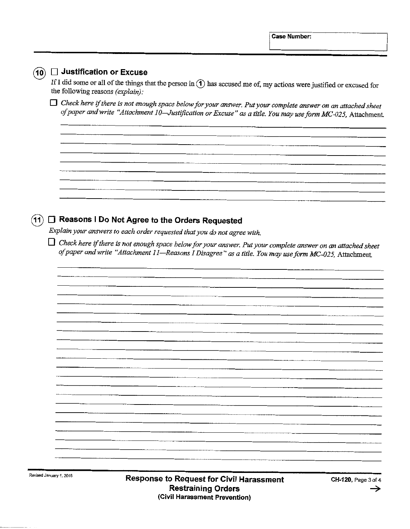| Revised January 1, 2018 |    | Response to Request for Civil Harassment<br>CH-120, Page 3 of 4<br><b>Restraining Orders</b><br>(Civil Harassment Prevention)                                                                                                      |
|-------------------------|----|------------------------------------------------------------------------------------------------------------------------------------------------------------------------------------------------------------------------------------|
|                         |    |                                                                                                                                                                                                                                    |
|                         |    |                                                                                                                                                                                                                                    |
|                         |    |                                                                                                                                                                                                                                    |
|                         |    |                                                                                                                                                                                                                                    |
|                         |    |                                                                                                                                                                                                                                    |
|                         |    |                                                                                                                                                                                                                                    |
|                         |    |                                                                                                                                                                                                                                    |
|                         |    |                                                                                                                                                                                                                                    |
|                         |    |                                                                                                                                                                                                                                    |
|                         |    |                                                                                                                                                                                                                                    |
|                         |    |                                                                                                                                                                                                                                    |
|                         |    |                                                                                                                                                                                                                                    |
|                         |    | of paper and write "Attachment 11-Reasons I Disagree" as a title. You may use form MC-025, Attachment.                                                                                                                             |
|                         |    | $\Box$ Check here if there is not enough space below for your answer. Put your complete answer on an attached sheet                                                                                                                |
| $\overline{11}$         | H. | Reasons I Do Not Agree to the Orders Requested<br>Explain your answers to each order requested that you do not agree with.                                                                                                         |
|                         |    |                                                                                                                                                                                                                                    |
|                         |    |                                                                                                                                                                                                                                    |
|                         |    |                                                                                                                                                                                                                                    |
|                         |    |                                                                                                                                                                                                                                    |
|                         |    |                                                                                                                                                                                                                                    |
|                         |    | $\Box$ Check here if there is not enough space below for your answer. Put your complete answer on an attached sheet<br>of paper and write "Attachment 10-Justification or Excuse" as a title. You may use form MC-025, Attachment. |
|                         |    | the following reasons (explain):                                                                                                                                                                                                   |
|                         |    | If I did some or all of the things that the person in $\bigodot$ has accused me of, my actions were justified or excused for                                                                                                       |
| $\left( 10\right)$      |    | $\Box$ Justification or Excuse                                                                                                                                                                                                     |

 $\blacksquare$